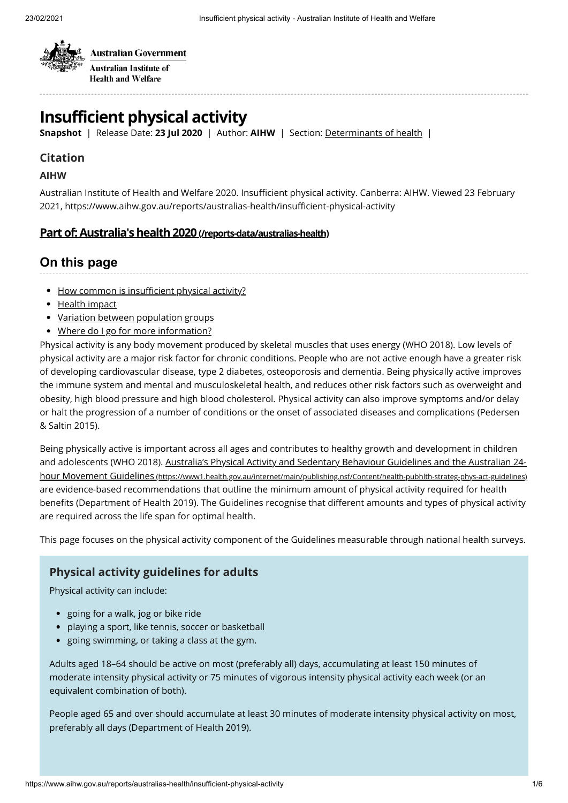

Australian Government **Australian Institute of Health and Welfare** 

# **Insufficient physical activity**

**Snapshot** | Release Date: **23 Jul 2020** | Author: **AIHW** | Section: [Determinants of health](https://www.aihw.gov.au/reports-data/australias-health/australias-health-snapshots?section=determinants) |

## **Citation**

#### **AIHW**

Australian Institute of Health and Welfare 2020. Insufficient physical activity. Canberra: AIHW. Viewed 23 February 2021, https://www.aihw.gov.au/reports/australias-health/insufficient-physical-activity

## **Part of: Australia's health 2020** (/reports-data/australias-health)

## **On this page**

- How common is insufficient physical activity?
- [Health impact](#page-3-0)
- [Variation between population groups](#page-3-1)
- [Where do I go for more information?](#page-4-0)

Physical activity is any body movement produced by skeletal muscles that uses energy (WHO 2018). Low levels of physical activity are a major risk factor for chronic conditions. People who are not active enough have a greater risk of developing cardiovascular disease, type 2 diabetes, osteoporosis and dementia. Being physically active improves the immune system and mental and musculoskeletal health, and reduces other risk factors such as overweight and obesity, high blood pressure and high blood cholesterol. Physical activity can also improve symptoms and/or delay or halt the progression of a number of conditions or the onset of associated diseases and complications (Pedersen & Saltin 2015).

Being physically active is important across all ages and contributes to healthy growth and development in children [and adolescents \(WHO 2018\). Australia's Physical Activity and Sedentary Behaviour Guidelines and the Australian 24](https://www1.health.gov.au/internet/main/publishing.nsf/Content/health-pubhlth-strateg-phys-act-guidelines) hour Movement Guidelines (https://www1.health.gov.au/internet/main/publishing.nsf/Content/health-pubhlth-strateg-phys-act-guidelines) are evidence-based recommendations that outline the minimum amount of physical activity required for health benefits (Department of Health 2019). The Guidelines recognise that different amounts and types of physical activity are required across the life span for optimal health.

This page focuses on the physical activity component of the Guidelines measurable through national health surveys.

## **Physical activity guidelines for adults**

Physical activity can include:

- going for a walk, jog or bike ride
- playing a sport, like tennis, soccer or basketball
- going swimming, or taking a class at the gym.

Adults aged 18–64 should be active on most (preferably all) days, accumulating at least 150 minutes of moderate intensity physical activity or 75 minutes of vigorous intensity physical activity each week (or an equivalent combination of both).

People aged 65 and over should accumulate at least 30 minutes of moderate intensity physical activity on most, preferably all days (Department of Health 2019).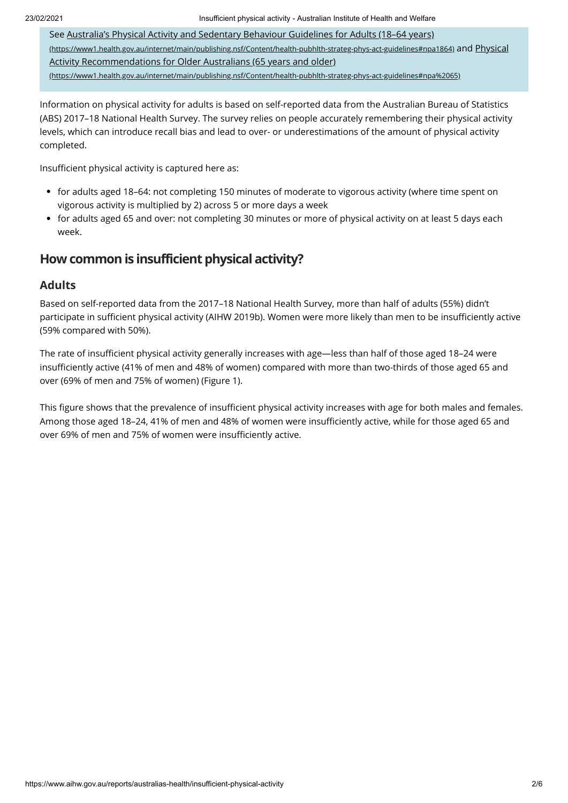23/02/2021 Insufficient physical activity - Australian Institute of Health and Welfare

[See Australia's Physical Activity and Sedentary Behaviour Guidelines for Adults \(18–64 years\)](https://www1.health.gov.au/internet/main/publishing.nsf/Content/health-pubhlth-strateg-phys-act-guidelines#npa1864) (https://www1.health.gov.au/internet/main/publishing.nsf/Content/health-pubhlth-strateg-phys-act-guidelines#npa1864) and Physical Activity Recommendations for Older Australians (65 years and older) [\(https://www1.health.gov.au/internet/main/publishing.nsf/Content/health-pubhlth-strateg-phys-act-guidelines#npa%2065\)](https://www1.health.gov.au/internet/main/publishing.nsf/Content/health-pubhlth-strateg-phys-act-guidelines#npa%2065)

Information on physical activity for adults is based on self-reported data from the Australian Bureau of Statistics (ABS) 2017–18 National Health Survey. The survey relies on people accurately remembering their physical activity levels, which can introduce recall bias and lead to over- or underestimations of the amount of physical activity completed.

Insufficient physical activity is captured here as:

- for adults aged 18–64: not completing 150 minutes of moderate to vigorous activity (where time spent on vigorous activity is multiplied by 2) across 5 or more days a week
- for adults aged 65 and over: not completing 30 minutes or more of physical activity on at least 5 days each week.

## **How commonis insufficient physical activity?**

## **Adults**

Based on self-reported data from the 2017–18 National Health Survey, more than half of adults (55%) didn't participate in sufficient physical activity (AIHW 2019b). Women were more likely than men to be insufficiently active (59% compared with 50%).

The rate of insufficient physical activity generally increases with age-less than half of those aged 18-24 were insufficiently active (41% of men and 48% of women) compared with more than two-thirds of those aged 65 and over (69% of men and 75% of women) (Figure 1).

This figure shows that the prevalence of insufficient physical activity increases with age for both males and females. Among those aged 18-24, 41% of men and 48% of women were insufficiently active, while for those aged 65 and over 69% of men and 75% of women were insufficiently active.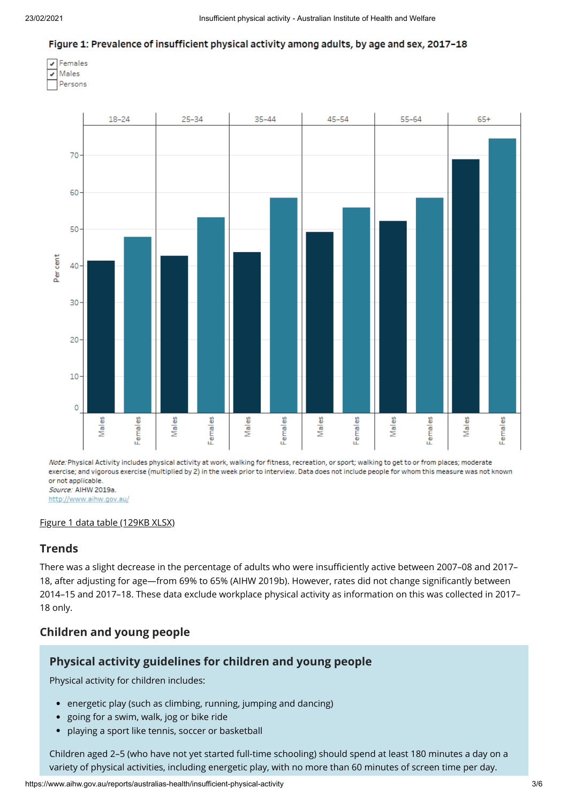#### Figure 1: Prevalence of insufficient physical activity among adults, by age and sex, 2017-18







Note: Physical Activity includes physical activity at work, walking for fitness, recreation, or sport; walking to get to or from places; moderate exercise; and vigorous exercise (multiplied by 2) in the week prior to interview. Data does not include people for whom this measure was not known or not applicable. Source: AIHW 2019a.

http://www.aihw.gov.au/

#### [Figure 1 data table \(129KB XLSX\)](https://www.aihw.gov.au/getmedia/44008365-0902-4404-9c9b-d935f9c1b9fe/Data-tables-Australia-s-health-2020-Insufficient-physical-activity-snapshot.xlsx.aspx)

### **Trends**

There was a slight decrease in the percentage of adults who were insufficiently active between 2007–08 and 2017– 18, after adjusting for age—from 69% to 65% (AIHW 2019b). However, rates did not change significantly between 2014–15 and 2017–18. These data exclude workplace physical activity as information on this was collected in 2017– 18 only.

### **Children and young people**

### **Physical activity guidelines for children and young people**

Physical activity for children includes:

- energetic play (such as climbing, running, jumping and dancing)
- going for a swim, walk, jog or bike ride
- $\bullet$ playing a sport like tennis, soccer or basketball

Children aged 2–5 (who have not yet started full-time schooling) should spend at least 180 minutes a day on a variety of physical activities, including energetic play, with no more than 60 minutes of screen time per day.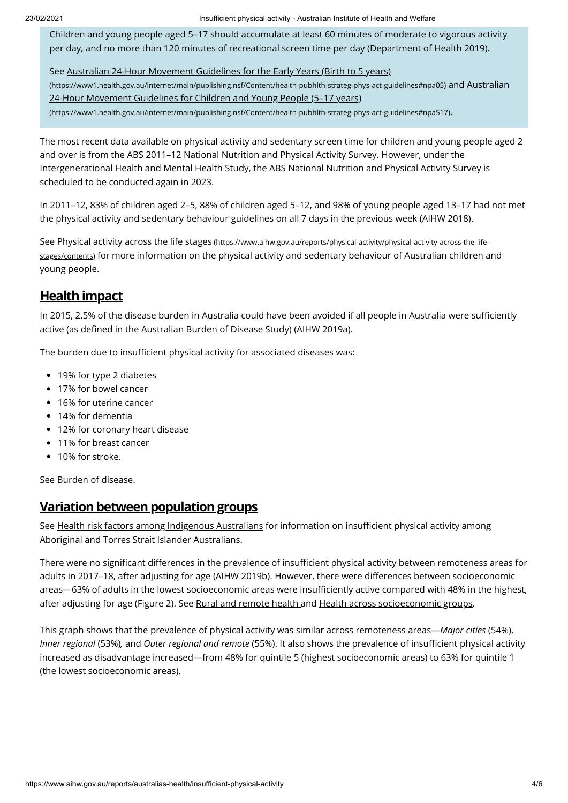23/02/2021 Insufficient physical activity - Australian Institute of Health and Welfare

Children and young people aged 5–17 should accumulate at least 60 minutes of moderate to vigorous activity per day, and no more than 120 minutes of recreational screen time per day (Department of Health 2019).

[See Australian 24-Hour Movement Guidelines for the Early Years \(Birth to 5 years\)](https://www1.health.gov.au/internet/main/publishing.nsf/Content/health-pubhlth-strateg-phys-act-guidelines#npa05) (https://www1.health.gov.au/internet/main/publishing.nsf/Content/health-pubhlth-strateg-phys-act-guidelines#npa05) and Australian 24-Hour Movement Guidelines for Children and Young People (5-17 years) [\(https://www1.health.gov.au/internet/main/publishing.nsf/Content/health-pubhlth-strateg-phys-act-guidelines#npa517\)](https://www1.health.gov.au/internet/main/publishing.nsf/Content/health-pubhlth-strateg-phys-act-guidelines#npa517).

The most recent data available on physical activity and sedentary screen time for children and young people aged 2 and over is from the ABS 2011–12 National Nutrition and Physical Activity Survey. However, under the Intergenerational Health and Mental Health Study, the ABS National Nutrition and Physical Activity Survey is scheduled to be conducted again in 2023.

In 2011–12, 83% of children aged 2–5, 88% of children aged 5–12, and 98% of young people aged 13–17 had not met the physical activity and sedentary behaviour guidelines on all 7 days in the previous week (AIHW 2018).

See Physical activity across the life stages (https://www.aihw.gov.au/reports/physical-activity/physical-activity-across-the-lifestages/contents) [for more information on the physical activity and sedentary behaviour of Australian children a](https://www.aihw.gov.au/reports/physical-activity/physical-activity-across-the-life-stages/contents)nd young people.

## <span id="page-3-0"></span>**Health impact**

In 2015, 2.5% of the disease burden in Australia could have been avoided if all people in Australia were sufficiently active (as defined in the Australian Burden of Disease Study) (AIHW 2019a).

The burden due to insufficient physical activity for associated diseases was:

- 19% for type 2 diabetes
- 17% for bowel cancer
- 16% for uterine cancer
- 14% for dementia
- 12% for coronary heart disease
- 11% for breast cancer
- 10% for stroke.

See [Burden of disease.](https://www.aihw.gov.au/reports/australias-health/burden-of-disease)

## <span id="page-3-1"></span>**Variation between population groups**

See [Health risk factors among Indigenous Australians](https://www.aihw.gov.au/reports/australias-health/health-risk-factors-among-indigenous-australians) for information on insufficient physical activity among Aboriginal and Torres Strait Islander Australians.

There were no significant differences in the prevalence of insufficient physical activity between remoteness areas for adults in 2017-18, after adjusting for age (AIHW 2019b). However, there were differences between socioeconomic areas—63% of adults in the lowest socioeconomic areas were insufficiently active compared with 48% in the highest, after adjusting for age (Figure 2). See [Rural and remote health](https://www.aihw.gov.au/reports/australias-health/rural-and-remote-health) and [Health across socioeconomic groups](https://www.aihw.gov.au/reports/adoptions/health-across-socioeconomic-groups).

This graph shows that the prevalence of physical activity was similar across remoteness areas—*Major cities* (54%), *Inner regional (53%), and Outer regional and remote (55%). It also shows the prevalence of insufficient physical activity* increased as disadvantage increased—from 48% for quintile 5 (highest socioeconomic areas) to 63% for quintile 1 (the lowest socioeconomic areas).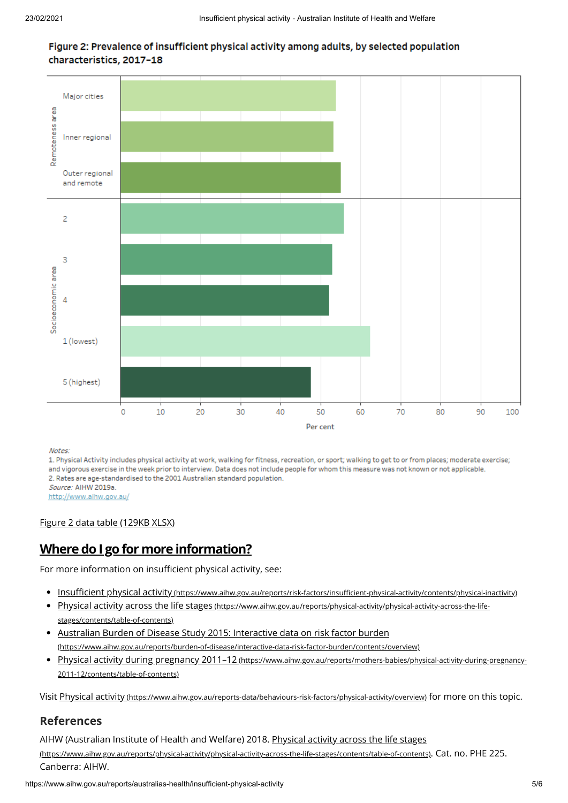



Notes:

1. Physical Activity includes physical activity at work, walking for fitness, recreation, or sport; walking to get to or from places; moderate exercise; and vigorous exercise in the week prior to interview. Data does not include people for whom this measure was not known or not applicable. 2. Rates are age-standardised to the 2001 Australian standard population. Source: AIHW 2019a.

http://www.aihw.gov.au/

[Figure 2 data table \(129KB XLSX\)](https://www.aihw.gov.au/getmedia/44008365-0902-4404-9c9b-d935f9c1b9fe/Data-tables-Australia-s-health-2020-Insufficient-physical-activity-snapshot.xlsx.aspx)

## <span id="page-4-0"></span>**Where do I go for more information?**

For more information on insufficient physical activity, see:

- Insufficient physical activity (https://www.aihw.gov.au/reports/risk-factors/insufficient-physical-activity/contents/physical-inactivity)
- Physical activity across the life stages [\(https://www.aihw.gov.au/reports/physical-activity/physical-activity-across-the-life](https://www.aihw.gov.au/reports/physical-activity/physical-activity-across-the-life-stages/contents/table-of-contents)stages/contents/table-of-contents)
- [Australian Burden of Disease Study 2015: Interactive data on risk factor burden](https://www.aihw.gov.au/reports/burden-of-disease/interactive-data-risk-factor-burden/contents/overview) (https://www.aihw.gov.au/reports/burden-of-disease/interactive-data-risk-factor-burden/contents/overview)
- Physical activity during pregnancy 2011-12 [\(https://www.aihw.gov.au/reports/mothers-babies/physical-activity-during-pregnancy-](https://www.aihw.gov.au/reports/mothers-babies/physical-activity-during-pregnancy-2011-12/contents/table-of-contents)2011-12/contents/table-of-contents)

Visit Physical activity [\(https://www.aihw.gov.au/reports-data/behaviours-risk-factors/physical-activity/overview\)](https://www.aihw.gov.au/reports-data/behaviours-risk-factors/physical-activity/overview) for more on this topic.

### **References**

[AIHW \(Australian Institute of Health and Welfare\) 2018. Physical activity across the life stages](https://www.aihw.gov.au/reports/physical-activity/physical-activity-across-the-life-stages/contents/table-of-contents)

(https://www.aihw.gov.au/reports/physical-activity/physical-activity-across-the-life-stages/contents/table-of-contents). Cat. no. PHE 225. Canberra: AIHW.